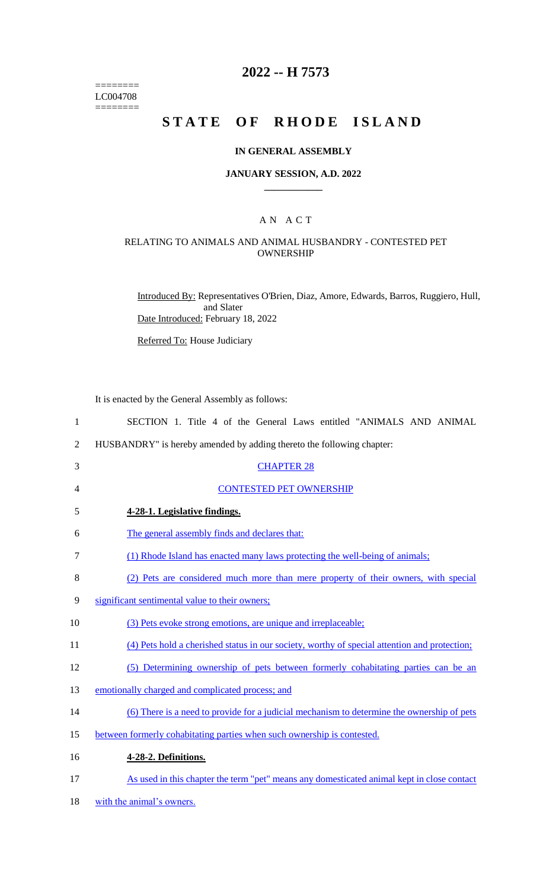======== LC004708  $=$ 

## **2022 -- H 7573**

## **STATE OF RHODE ISLAND**

#### **IN GENERAL ASSEMBLY**

#### **JANUARY SESSION, A.D. 2022 \_\_\_\_\_\_\_\_\_\_\_\_**

### A N A C T

#### RELATING TO ANIMALS AND ANIMAL HUSBANDRY - CONTESTED PET OWNERSHIP

Introduced By: Representatives O'Brien, Diaz, Amore, Edwards, Barros, Ruggiero, Hull, and Slater Date Introduced: February 18, 2022

Referred To: House Judiciary

It is enacted by the General Assembly as follows:

| SECTION 1. Title 4 of the General Laws entitled "ANIMALS AND ANIMAL                          |
|----------------------------------------------------------------------------------------------|
| HUSBANDRY" is hereby amended by adding thereto the following chapter:                        |
| <b>CHAPTER 28</b>                                                                            |
| <b>CONTESTED PET OWNERSHIP</b>                                                               |
| 4-28-1. Legislative findings.                                                                |
| The general assembly finds and declares that:                                                |
| (1) Rhode Island has enacted many laws protecting the well-being of animals;                 |
| (2) Pets are considered much more than mere property of their owners, with special           |
| significant sentimental value to their owners;                                               |
| (3) Pets evoke strong emotions, are unique and irreplaceable;                                |
| (4) Pets hold a cherished status in our society, worthy of special attention and protection; |
| (5) Determining ownership of pets between formerly cohabitating parties can be an            |
| emotionally charged and complicated process; and                                             |
| (6) There is a need to provide for a judicial mechanism to determine the ownership of pets   |
| between formerly cohabitating parties when such ownership is contested.                      |
| 4-28-2. Definitions.                                                                         |
| As used in this chapter the term "pet" means any domesticated animal kept in close contact   |
|                                                                                              |

18 with the animal's owners.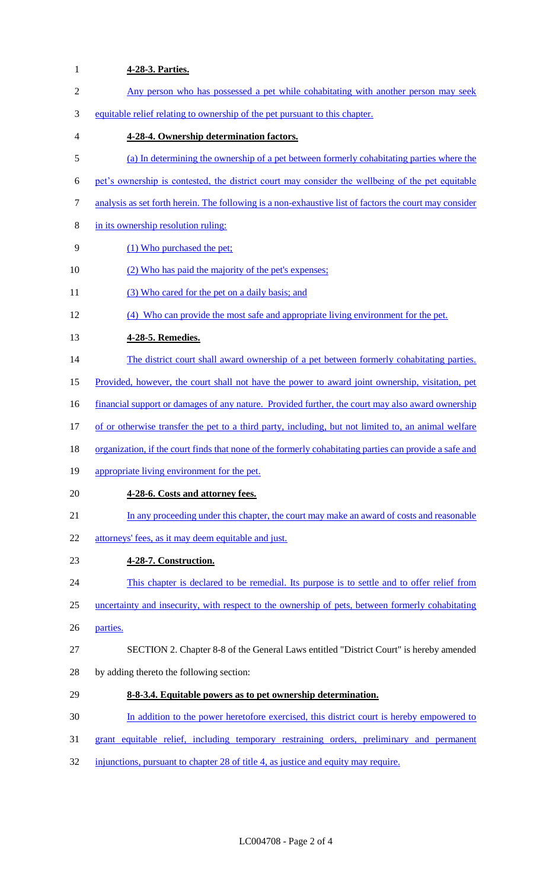# **4-28-3. Parties.** Any person who has possessed a pet while cohabitating with another person may seek equitable relief relating to ownership of the pet pursuant to this chapter. **4-28-4. Ownership determination factors.** (a) In determining the ownership of a pet between formerly cohabitating parties where the pet's ownership is contested, the district court may consider the wellbeing of the pet equitable analysis as set forth herein. The following is a non-exhaustive list of factors the court may consider in its ownership resolution ruling: (1) Who purchased the pet; 10 (2) Who has paid the majority of the pet's expenses; 11 (3) Who cared for the pet on a daily basis; and (4) Who can provide the most safe and appropriate living environment for the pet. **4-28-5. Remedies.** 14 The district court shall award ownership of a pet between formerly cohabitating parties. Provided, however, the court shall not have the power to award joint ownership, visitation, pet 16 financial support or damages of any nature. Provided further, the court may also award ownership 17 of or otherwise transfer the pet to a third party, including, but not limited to, an animal welfare organization, if the court finds that none of the formerly cohabitating parties can provide a safe and appropriate living environment for the pet. **4-28-6. Costs and attorney fees.** 21 In any proceeding under this chapter, the court may make an award of costs and reasonable 22 attorneys' fees, as it may deem equitable and just. **4-28-7. Construction.** 24 This chapter is declared to be remedial. Its purpose is to settle and to offer relief from uncertainty and insecurity, with respect to the ownership of pets, between formerly cohabitating parties. SECTION 2. Chapter 8-8 of the General Laws entitled "District Court" is hereby amended by adding thereto the following section: **8-8-3.4. Equitable powers as to pet ownership determination.** In addition to the power heretofore exercised, this district court is hereby empowered to 31 grant equitable relief, including temporary restraining orders, preliminary and permanent

injunctions, pursuant to chapter 28 of title 4, as justice and equity may require.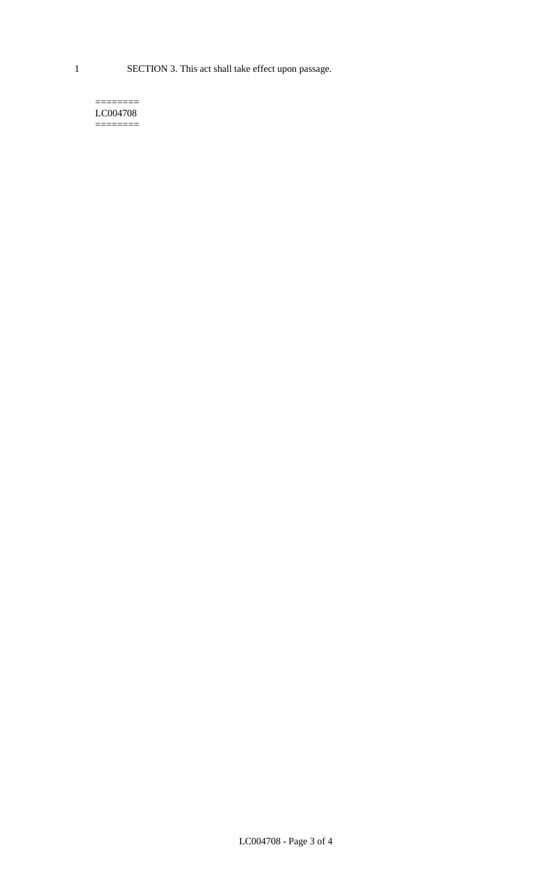1 SECTION 3. This act shall take effect upon passage.

#### $=$ LC004708  $=$